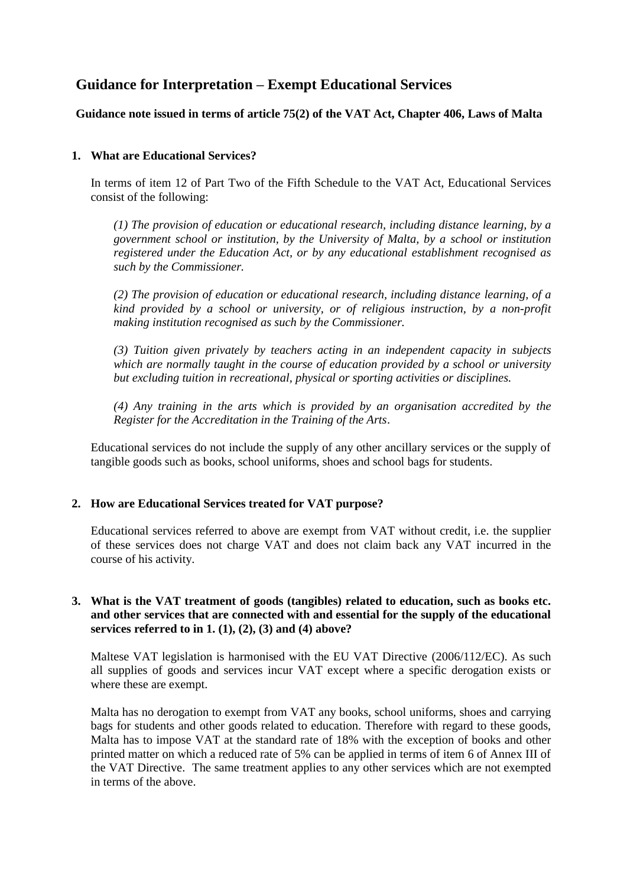# **Guidance for Interpretation – Exempt Educational Services**

## **Guidance note issued in terms of article 75(2) of the VAT Act, Chapter 406, Laws of Malta**

### **1. What are Educational Services?**

In terms of item 12 of Part Two of the Fifth Schedule to the VAT Act, Educational Services consist of the following:

*(1) The provision of education or educational research, including distance learning, by a government school or institution, by the University of Malta, by a school or institution registered under the Education Act, or by any educational establishment recognised as such by the Commissioner.*

*(2) The provision of education or educational research, including distance learning, of a kind provided by a school or university, or of religious instruction, by a non-profit making institution recognised as such by the Commissioner.*

*(3) Tuition given privately by teachers acting in an independent capacity in subjects which are normally taught in the course of education provided by a school or university but excluding tuition in recreational, physical or sporting activities or disciplines.*

*(4) Any training in the arts which is provided by an organisation accredited by the Register for the Accreditation in the Training of the Arts*.

Educational services do not include the supply of any other ancillary services or the supply of tangible goods such as books, school uniforms, shoes and school bags for students.

#### **2. How are Educational Services treated for VAT purpose?**

Educational services referred to above are exempt from VAT without credit, i.e. the supplier of these services does not charge VAT and does not claim back any VAT incurred in the course of his activity.

#### **3. What is the VAT treatment of goods (tangibles) related to education, such as books etc. and other services that are connected with and essential for the supply of the educational services referred to in 1. (1), (2), (3) and (4) above?**

Maltese VAT legislation is harmonised with the EU VAT Directive (2006/112/EC). As such all supplies of goods and services incur VAT except where a specific derogation exists or where these are exempt.

Malta has no derogation to exempt from VAT any books, school uniforms, shoes and carrying bags for students and other goods related to education. Therefore with regard to these goods, Malta has to impose VAT at the standard rate of 18% with the exception of books and other printed matter on which a reduced rate of 5% can be applied in terms of item 6 of Annex III of the VAT Directive. The same treatment applies to any other services which are not exempted in terms of the above.